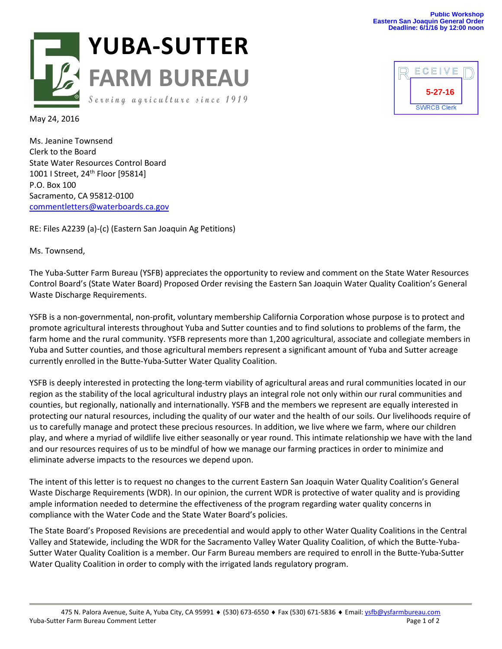



May 24, 2016

Ms. Jeanine Townsend Clerk to the Board State Water Resources Control Board 1001 | Street, 24<sup>th</sup> Floor [95814] P.O. Box 100 Sacramento, CA 95812-0100 [commentletters@waterboards.ca.gov](mailto:commentletters@waterboards.ca.gov)

RE: Files A2239 (a)-(c) (Eastern San Joaquin Ag Petitions)

Ms. Townsend,

The Yuba-Sutter Farm Bureau (YSFB) appreciates the opportunity to review and comment on the State Water Resources Control Board's (State Water Board) Proposed Order revising the Eastern San Joaquin Water Quality Coalition's General Waste Discharge Requirements.

YSFB is a non-governmental, non-profit, voluntary membership California Corporation whose purpose is to protect and promote agricultural interests throughout Yuba and Sutter counties and to find solutions to problems of the farm, the farm home and the rural community. YSFB represents more than 1,200 agricultural, associate and collegiate members in Yuba and Sutter counties, and those agricultural members represent a significant amount of Yuba and Sutter acreage currently enrolled in the Butte-Yuba-Sutter Water Quality Coalition.

YSFB is deeply interested in protecting the long-term viability of agricultural areas and rural communities located in our region as the stability of the local agricultural industry plays an integral role not only within our rural communities and counties, but regionally, nationally and internationally. YSFB and the members we represent are equally interested in protecting our natural resources, including the quality of our water and the health of our soils. Our livelihoods require of us to carefully manage and protect these precious resources. In addition, we live where we farm, where our children play, and where a myriad of wildlife live either seasonally or year round. This intimate relationship we have with the land and our resources requires of us to be mindful of how we manage our farming practices in order to minimize and eliminate adverse impacts to the resources we depend upon.

The intent of this letter is to request no changes to the current Eastern San Joaquin Water Quality Coalition's General Waste Discharge Requirements (WDR). In our opinion, the current WDR is protective of water quality and is providing ample information needed to determine the effectiveness of the program regarding water quality concerns in compliance with the Water Code and the State Water Board's policies.

The State Board's Proposed Revisions are precedential and would apply to other Water Quality Coalitions in the Central Valley and Statewide, including the WDR for the Sacramento Valley Water Quality Coalition, of which the Butte-Yuba-Sutter Water Quality Coalition is a member. Our Farm Bureau members are required to enroll in the Butte-Yuba-Sutter Water Quality Coalition in order to comply with the irrigated lands regulatory program.